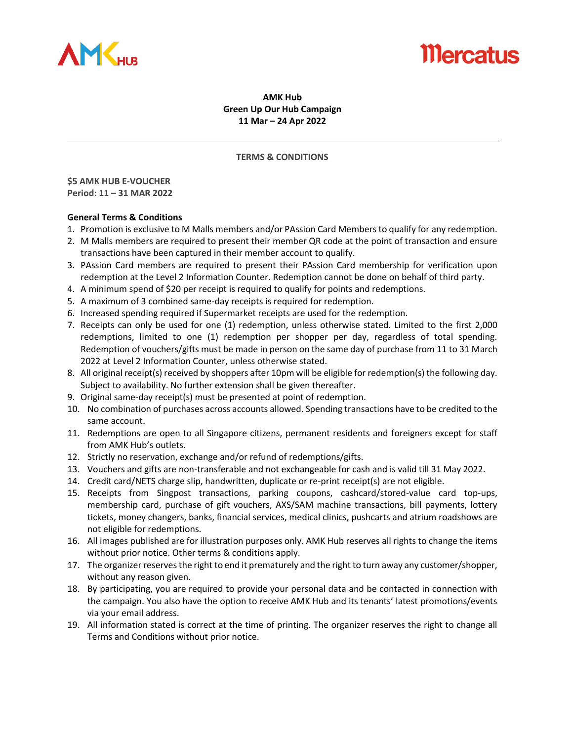

# **Nercatus**

### **AMK Hub Green Up Our Hub Campaign 11 Mar – 24 Apr 2022**

#### **TERMS & CONDITIONS**

**\$5 AMK HUB E-VOUCHER Period: 11 – 31 MAR 2022**

- 1. Promotion is exclusive to M Malls members and/or PAssion Card Membersto qualify for any redemption.
- 2. M Malls members are required to present their member QR code at the point of transaction and ensure transactions have been captured in their member account to qualify.
- 3. PAssion Card members are required to present their PAssion Card membership for verification upon redemption at the Level 2 Information Counter. Redemption cannot be done on behalf of third party.
- 4. A minimum spend of \$20 per receipt is required to qualify for points and redemptions.
- 5. A maximum of 3 combined same-day receipts is required for redemption.
- 6. Increased spending required if Supermarket receipts are used for the redemption.
- 7. Receipts can only be used for one (1) redemption, unless otherwise stated. Limited to the first 2,000 redemptions, limited to one (1) redemption per shopper per day, regardless of total spending. Redemption of vouchers/gifts must be made in person on the same day of purchase from 11 to 31 March 2022 at Level 2 Information Counter, unless otherwise stated.
- 8. All original receipt(s) received by shoppers after 10pm will be eligible for redemption(s) the following day. Subject to availability. No further extension shall be given thereafter.
- 9. Original same-day receipt(s) must be presented at point of redemption.
- 10. No combination of purchases across accounts allowed. Spending transactions have to be credited to the same account.
- 11. Redemptions are open to all Singapore citizens, permanent residents and foreigners except for staff from AMK Hub's outlets.
- 12. Strictly no reservation, exchange and/or refund of redemptions/gifts.
- 13. Vouchers and gifts are non-transferable and not exchangeable for cash and is valid till 31 May 2022.
- 14. Credit card/NETS charge slip, handwritten, duplicate or re-print receipt(s) are not eligible.
- 15. Receipts from Singpost transactions, parking coupons, cashcard/stored-value card top-ups, membership card, purchase of gift vouchers, AXS/SAM machine transactions, bill payments, lottery tickets, money changers, banks, financial services, medical clinics, pushcarts and atrium roadshows are not eligible for redemptions.
- 16. All images published are for illustration purposes only. AMK Hub reserves all rights to change the items without prior notice. Other terms & conditions apply.
- 17. The organizer reserves the right to end it prematurely and the right to turn away any customer/shopper, without any reason given.
- 18. By participating, you are required to provide your personal data and be contacted in connection with the campaign. You also have the option to receive AMK Hub and its tenants' latest promotions/events via your email address.
- 19. All information stated is correct at the time of printing. The organizer reserves the right to change all Terms and Conditions without prior notice.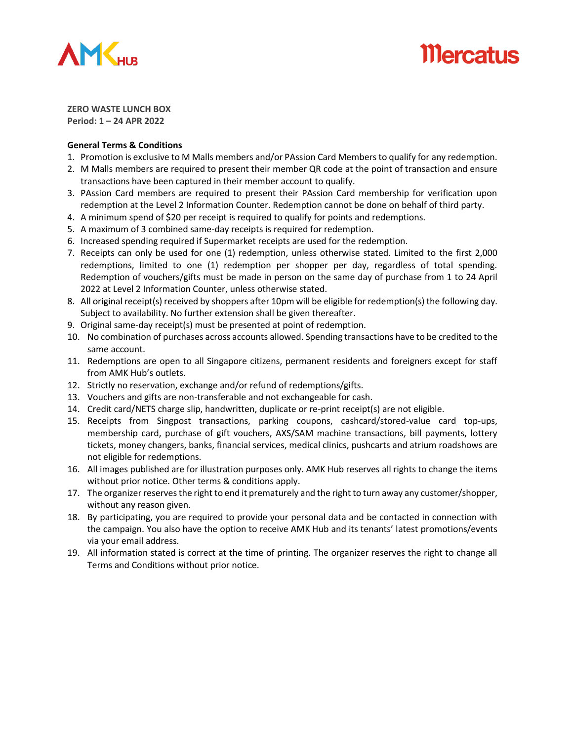

# **Mercatus**

**ZERO WASTE LUNCH BOX Period: 1 – 24 APR 2022**

- 1. Promotion is exclusive to M Malls members and/or PAssion Card Membersto qualify for any redemption.
- 2. M Malls members are required to present their member QR code at the point of transaction and ensure transactions have been captured in their member account to qualify.
- 3. PAssion Card members are required to present their PAssion Card membership for verification upon redemption at the Level 2 Information Counter. Redemption cannot be done on behalf of third party.
- 4. A minimum spend of \$20 per receipt is required to qualify for points and redemptions.
- 5. A maximum of 3 combined same-day receipts is required for redemption.
- 6. Increased spending required if Supermarket receipts are used for the redemption.
- 7. Receipts can only be used for one (1) redemption, unless otherwise stated. Limited to the first 2,000 redemptions, limited to one (1) redemption per shopper per day, regardless of total spending. Redemption of vouchers/gifts must be made in person on the same day of purchase from 1 to 24 April 2022 at Level 2 Information Counter, unless otherwise stated.
- 8. All original receipt(s) received by shoppers after 10pm will be eligible for redemption(s) the following day. Subject to availability. No further extension shall be given thereafter.
- 9. Original same-day receipt(s) must be presented at point of redemption.
- 10. No combination of purchases across accounts allowed. Spending transactions have to be credited to the same account.
- 11. Redemptions are open to all Singapore citizens, permanent residents and foreigners except for staff from AMK Hub's outlets.
- 12. Strictly no reservation, exchange and/or refund of redemptions/gifts.
- 13. Vouchers and gifts are non-transferable and not exchangeable for cash.
- 14. Credit card/NETS charge slip, handwritten, duplicate or re-print receipt(s) are not eligible.
- 15. Receipts from Singpost transactions, parking coupons, cashcard/stored-value card top-ups, membership card, purchase of gift vouchers, AXS/SAM machine transactions, bill payments, lottery tickets, money changers, banks, financial services, medical clinics, pushcarts and atrium roadshows are not eligible for redemptions.
- 16. All images published are for illustration purposes only. AMK Hub reserves all rights to change the items without prior notice. Other terms & conditions apply.
- 17. The organizer reserves the right to end it prematurely and the right to turn away any customer/shopper, without any reason given.
- 18. By participating, you are required to provide your personal data and be contacted in connection with the campaign. You also have the option to receive AMK Hub and its tenants' latest promotions/events via your email address.
- 19. All information stated is correct at the time of printing. The organizer reserves the right to change all Terms and Conditions without prior notice.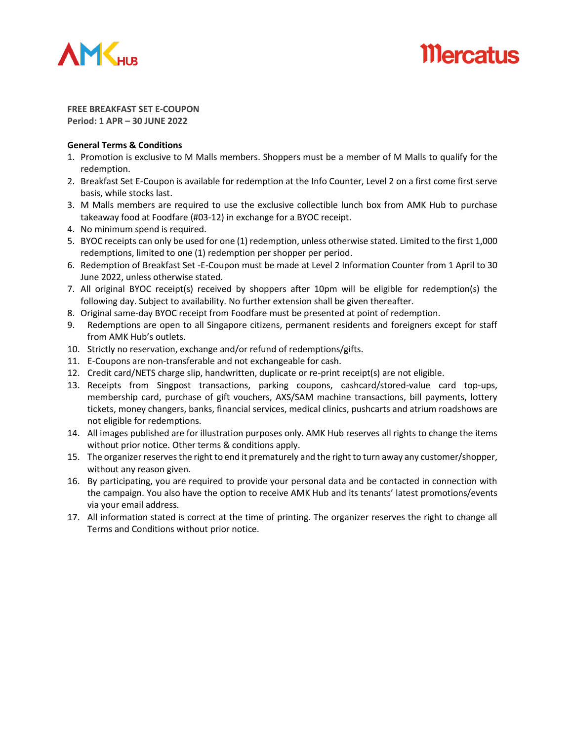

# *Mercatus*

**FREE BREAKFAST SET E-COUPON Period: 1 APR – 30 JUNE 2022**

- 1. Promotion is exclusive to M Malls members. Shoppers must be a member of M Malls to qualify for the redemption.
- 2. Breakfast Set E-Coupon is available for redemption at the Info Counter, Level 2 on a first come first serve basis, while stocks last.
- 3. M Malls members are required to use the exclusive collectible lunch box from AMK Hub to purchase takeaway food at Foodfare (#03-12) in exchange for a BYOC receipt.
- 4. No minimum spend is required.
- 5. BYOC receipts can only be used for one (1) redemption, unless otherwise stated. Limited to the first 1,000 redemptions, limited to one (1) redemption per shopper per period.
- 6. Redemption of Breakfast Set -E-Coupon must be made at Level 2 Information Counter from 1 April to 30 June 2022, unless otherwise stated.
- 7. All original BYOC receipt(s) received by shoppers after 10pm will be eligible for redemption(s) the following day. Subject to availability. No further extension shall be given thereafter.
- 8. Original same-day BYOC receipt from Foodfare must be presented at point of redemption.
- 9. Redemptions are open to all Singapore citizens, permanent residents and foreigners except for staff from AMK Hub's outlets.
- 10. Strictly no reservation, exchange and/or refund of redemptions/gifts.
- 11. E-Coupons are non-transferable and not exchangeable for cash.
- 12. Credit card/NETS charge slip, handwritten, duplicate or re-print receipt(s) are not eligible.
- 13. Receipts from Singpost transactions, parking coupons, cashcard/stored-value card top-ups, membership card, purchase of gift vouchers, AXS/SAM machine transactions, bill payments, lottery tickets, money changers, banks, financial services, medical clinics, pushcarts and atrium roadshows are not eligible for redemptions.
- 14. All images published are for illustration purposes only. AMK Hub reserves all rights to change the items without prior notice. Other terms & conditions apply.
- 15. The organizer reserves the right to end it prematurely and the right to turn away any customer/shopper, without any reason given.
- 16. By participating, you are required to provide your personal data and be contacted in connection with the campaign. You also have the option to receive AMK Hub and its tenants' latest promotions/events via your email address.
- 17. All information stated is correct at the time of printing. The organizer reserves the right to change all Terms and Conditions without prior notice.